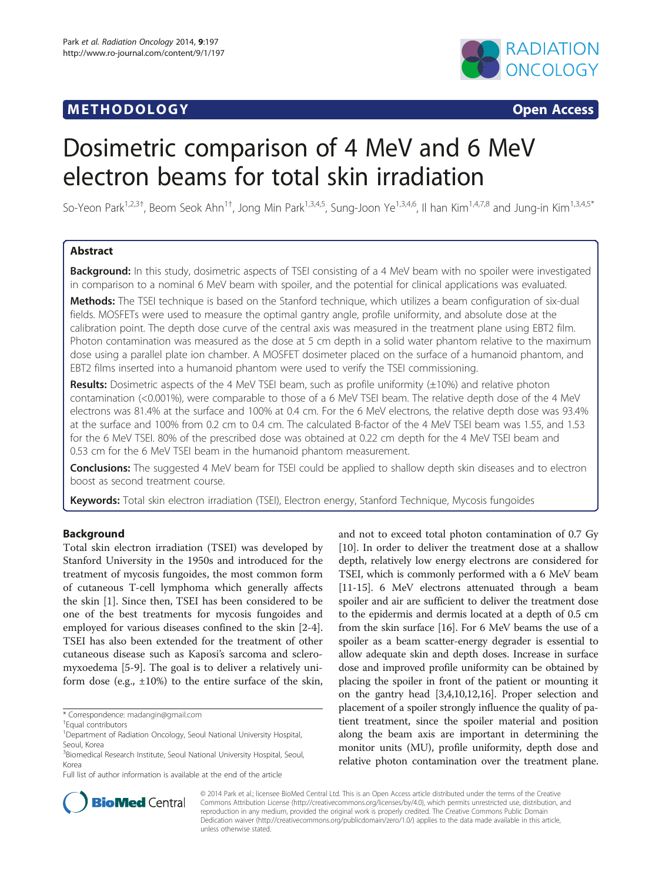# **METHODOLOGY CONSUMING ACCESS**



# Dosimetric comparison of 4 MeV and 6 MeV electron beams for total skin irradiation

So-Yeon Park<sup>1,2,3†</sup>, Beom Seok Ahn<sup>1†</sup>, Jong Min Park<sup>1,3,4,5</sup>, Sung-Joon Ye<sup>1,3,4,6</sup>, Il han Kim<sup>1,4,7,8</sup> and Jung-in Kim<sup>1,3,4,5\*</sup>

# Abstract

**Background:** In this study, dosimetric aspects of TSEI consisting of a 4 MeV beam with no spoiler were investigated in comparison to a nominal 6 MeV beam with spoiler, and the potential for clinical applications was evaluated.

Methods: The TSEI technique is based on the Stanford technique, which utilizes a beam configuration of six-dual fields. MOSFETs were used to measure the optimal gantry angle, profile uniformity, and absolute dose at the calibration point. The depth dose curve of the central axis was measured in the treatment plane using EBT2 film. Photon contamination was measured as the dose at 5 cm depth in a solid water phantom relative to the maximum dose using a parallel plate ion chamber. A MOSFET dosimeter placed on the surface of a humanoid phantom, and EBT2 films inserted into a humanoid phantom were used to verify the TSEI commissioning.

**Results:** Dosimetric aspects of the 4 MeV TSEI beam, such as profile uniformity  $(\pm 10\%)$  and relative photon contamination (<0.001%), were comparable to those of a 6 MeV TSEI beam. The relative depth dose of the 4 MeV electrons was 81.4% at the surface and 100% at 0.4 cm. For the 6 MeV electrons, the relative depth dose was 93.4% at the surface and 100% from 0.2 cm to 0.4 cm. The calculated B-factor of the 4 MeV TSEI beam was 1.55, and 1.53 for the 6 MeV TSEI. 80% of the prescribed dose was obtained at 0.22 cm depth for the 4 MeV TSEI beam and 0.53 cm for the 6 MeV TSEI beam in the humanoid phantom measurement.

Conclusions: The suggested 4 MeV beam for TSEI could be applied to shallow depth skin diseases and to electron boost as second treatment course.

Keywords: Total skin electron irradiation (TSEI), Electron energy, Stanford Technique, Mycosis fungoides

# Background

Total skin electron irradiation (TSEI) was developed by Stanford University in the 1950s and introduced for the treatment of mycosis fungoides, the most common form of cutaneous T-cell lymphoma which generally affects the skin [\[1](#page-5-0)]. Since then, TSEI has been considered to be one of the best treatments for mycosis fungoides and employed for various diseases confined to the skin [[2-4](#page-5-0)]. TSEI has also been extended for the treatment of other cutaneous disease such as Kaposi's sarcoma and scleromyxoedema [\[5](#page-5-0)-[9\]](#page-5-0). The goal is to deliver a relatively uniform dose (e.g.,  $\pm 10\%$ ) to the entire surface of the skin,

and not to exceed total photon contamination of 0.7 Gy [[10\]](#page-5-0). In order to deliver the treatment dose at a shallow depth, relatively low energy electrons are considered for TSEI, which is commonly performed with a 6 MeV beam [[11](#page-5-0)-[15\]](#page-5-0). 6 MeV electrons attenuated through a beam spoiler and air are sufficient to deliver the treatment dose to the epidermis and dermis located at a depth of 0.5 cm from the skin surface [\[16\]](#page-5-0). For 6 MeV beams the use of a spoiler as a beam scatter-energy degrader is essential to allow adequate skin and depth doses. Increase in surface dose and improved profile uniformity can be obtained by placing the spoiler in front of the patient or mounting it on the gantry head [[3,4](#page-5-0),[10,12,16\]](#page-5-0). Proper selection and placement of a spoiler strongly influence the quality of patient treatment, since the spoiler material and position along the beam axis are important in determining the monitor units (MU), profile uniformity, depth dose and relative photon contamination over the treatment plane.



© 2014 Park et al.; licensee BioMed Central Ltd. This is an Open Access article distributed under the terms of the Creative Commons Attribution License [\(http://creativecommons.org/licenses/by/4.0\)](http://creativecommons.org/licenses/by/4.0), which permits unrestricted use, distribution, and reproduction in any medium, provided the original work is properly credited. The Creative Commons Public Domain Dedication waiver [\(http://creativecommons.org/publicdomain/zero/1.0/](http://creativecommons.org/publicdomain/zero/1.0/)) applies to the data made available in this article, unless otherwise stated.

<sup>\*</sup> Correspondence: [madangin@gmail.com](mailto:madangin@gmail.com) †

Equal contributors

<sup>&</sup>lt;sup>1</sup>Department of Radiation Oncology, Seoul National University Hospital, Seoul, Korea

<sup>&</sup>lt;sup>3</sup>Biomedical Research Institute, Seoul National University Hospital, Seoul, Korea

Full list of author information is available at the end of the article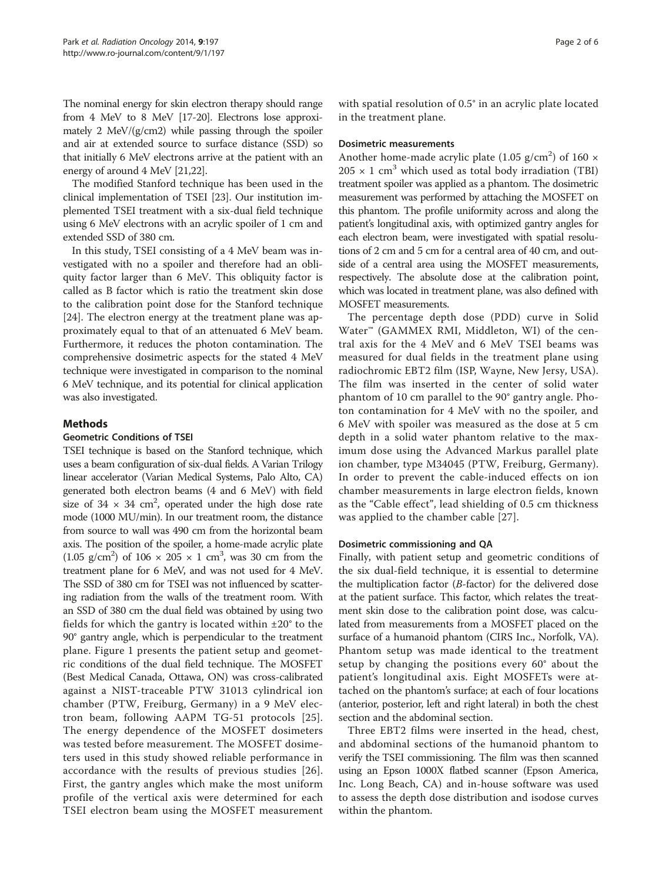The nominal energy for skin electron therapy should range from 4 MeV to 8 MeV [[17](#page-5-0)-[20](#page-5-0)]. Electrons lose approximately 2 MeV/(g/cm2) while passing through the spoiler and air at extended source to surface distance (SSD) so that initially 6 MeV electrons arrive at the patient with an energy of around 4 MeV [\[21,22](#page-5-0)].

The modified Stanford technique has been used in the clinical implementation of TSEI [\[23\]](#page-5-0). Our institution implemented TSEI treatment with a six-dual field technique using 6 MeV electrons with an acrylic spoiler of 1 cm and extended SSD of 380 cm.

In this study, TSEI consisting of a 4 MeV beam was investigated with no a spoiler and therefore had an obliquity factor larger than 6 MeV. This obliquity factor is called as B factor which is ratio the treatment skin dose to the calibration point dose for the Stanford technique [[24\]](#page-5-0). The electron energy at the treatment plane was approximately equal to that of an attenuated 6 MeV beam. Furthermore, it reduces the photon contamination. The comprehensive dosimetric aspects for the stated 4 MeV technique were investigated in comparison to the nominal 6 MeV technique, and its potential for clinical application was also investigated.

# Methods

# Geometric Conditions of TSEI

TSEI technique is based on the Stanford technique, which uses a beam configuration of six-dual fields. A Varian Trilogy linear accelerator (Varian Medical Systems, Palo Alto, CA) generated both electron beams (4 and 6 MeV) with field size of  $34 \times 34$  cm<sup>2</sup>, operated under the high dose rate mode (1000 MU/min). In our treatment room, the distance from source to wall was 490 cm from the horizontal beam axis. The position of the spoiler, a home-made acrylic plate  $(1.05 \text{ g/cm}^2)$  of  $106 \times 205 \times 1 \text{ cm}^3$ , was 30 cm from the treatment plane for 6 MeV, and was not used for 4 MeV. The SSD of 380 cm for TSEI was not influenced by scattering radiation from the walls of the treatment room. With an SSD of 380 cm the dual field was obtained by using two fields for which the gantry is located within  $\pm 20^{\circ}$  to the 90° gantry angle, which is perpendicular to the treatment plane. Figure [1](#page-2-0) presents the patient setup and geometric conditions of the dual field technique. The MOSFET (Best Medical Canada, Ottawa, ON) was cross-calibrated against a NIST-traceable PTW 31013 cylindrical ion chamber (PTW, Freiburg, Germany) in a 9 MeV electron beam, following AAPM TG-51 protocols [[25](#page-5-0)]. The energy dependence of the MOSFET dosimeters was tested before measurement. The MOSFET dosimeters used in this study showed reliable performance in accordance with the results of previous studies [[26](#page-5-0)]. First, the gantry angles which make the most uniform profile of the vertical axis were determined for each TSEI electron beam using the MOSFET measurement

with spatial resolution of 0.5° in an acrylic plate located in the treatment plane.

# Dosimetric measurements

Another home-made acrylic plate (1.05  $g/cm<sup>2</sup>$ ) of 160  $\times$  $205 \times 1$  cm<sup>3</sup> which used as total body irradiation (TBI) treatment spoiler was applied as a phantom. The dosimetric measurement was performed by attaching the MOSFET on this phantom. The profile uniformity across and along the patient's longitudinal axis, with optimized gantry angles for each electron beam, were investigated with spatial resolutions of 2 cm and 5 cm for a central area of 40 cm, and outside of a central area using the MOSFET measurements, respectively. The absolute dose at the calibration point, which was located in treatment plane, was also defined with MOSFET measurements.

The percentage depth dose (PDD) curve in Solid Water<sup>™</sup> (GAMMEX RMI, Middleton, WI) of the central axis for the 4 MeV and 6 MeV TSEI beams was measured for dual fields in the treatment plane using radiochromic EBT2 film (ISP, Wayne, New Jersy, USA). The film was inserted in the center of solid water phantom of 10 cm parallel to the 90° gantry angle. Photon contamination for 4 MeV with no the spoiler, and 6 MeV with spoiler was measured as the dose at 5 cm depth in a solid water phantom relative to the maximum dose using the Advanced Markus parallel plate ion chamber, type M34045 (PTW, Freiburg, Germany). In order to prevent the cable-induced effects on ion chamber measurements in large electron fields, known as the "Cable effect", lead shielding of 0.5 cm thickness was applied to the chamber cable [\[27\]](#page-5-0).

## Dosimetric commissioning and QA

Finally, with patient setup and geometric conditions of the six dual-field technique, it is essential to determine the multiplication factor (B-factor) for the delivered dose at the patient surface. This factor, which relates the treatment skin dose to the calibration point dose, was calculated from measurements from a MOSFET placed on the surface of a humanoid phantom (CIRS Inc., Norfolk, VA). Phantom setup was made identical to the treatment setup by changing the positions every 60° about the patient's longitudinal axis. Eight MOSFETs were attached on the phantom's surface; at each of four locations (anterior, posterior, left and right lateral) in both the chest section and the abdominal section.

Three EBT2 films were inserted in the head, chest, and abdominal sections of the humanoid phantom to verify the TSEI commissioning. The film was then scanned using an Epson 1000X flatbed scanner (Epson America, Inc. Long Beach, CA) and in-house software was used to assess the depth dose distribution and isodose curves within the phantom.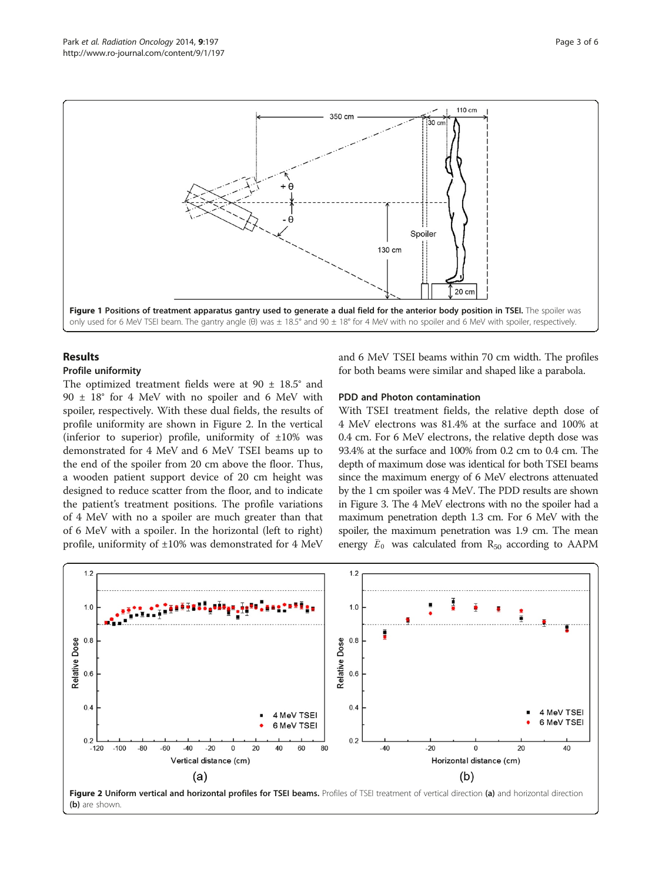<span id="page-2-0"></span>

# Results

# Profile uniformity

The optimized treatment fields were at  $90 \pm 18.5^{\circ}$  and  $90 \pm 18$ ° for 4 MeV with no spoiler and 6 MeV with spoiler, respectively. With these dual fields, the results of profile uniformity are shown in Figure 2. In the vertical (inferior to superior) profile, uniformity of  $\pm 10\%$  was demonstrated for 4 MeV and 6 MeV TSEI beams up to the end of the spoiler from 20 cm above the floor. Thus, a wooden patient support device of 20 cm height was designed to reduce scatter from the floor, and to indicate the patient's treatment positions. The profile variations of 4 MeV with no a spoiler are much greater than that of 6 MeV with a spoiler. In the horizontal (left to right) profile, uniformity of ±10% was demonstrated for 4 MeV and 6 MeV TSEI beams within 70 cm width. The profiles for both beams were similar and shaped like a parabola.

# PDD and Photon contamination

With TSEI treatment fields, the relative depth dose of 4 MeV electrons was 81.4% at the surface and 100% at 0.4 cm. For 6 MeV electrons, the relative depth dose was 93.4% at the surface and 100% from 0.2 cm to 0.4 cm. The depth of maximum dose was identical for both TSEI beams since the maximum energy of 6 MeV electrons attenuated by the 1 cm spoiler was 4 MeV. The PDD results are shown in Figure [3.](#page-3-0) The 4 MeV electrons with no the spoiler had a maximum penetration depth 1.3 cm. For 6 MeV with the spoiler, the maximum penetration was 1.9 cm. The mean energy  $\bar{E}_0$  was calculated from  $R_{50}$  according to AAPM



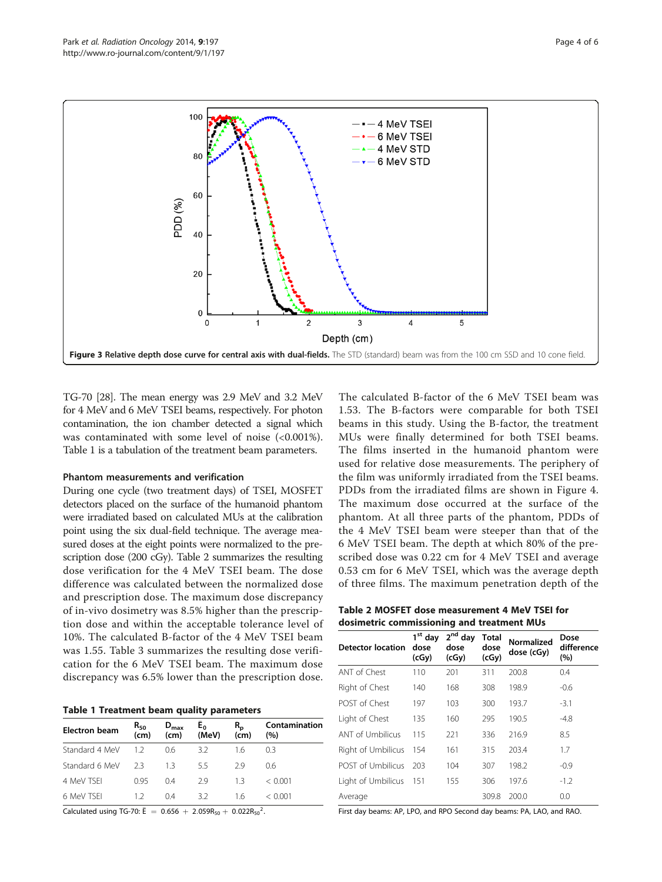

<span id="page-3-0"></span>

TG-70 [[28](#page-5-0)]. The mean energy was 2.9 MeV and 3.2 MeV for 4 MeV and 6 MeV TSEI beams, respectively. For photon contamination, the ion chamber detected a signal which was contaminated with some level of noise (<0.001%). Table 1 is a tabulation of the treatment beam parameters.

# Phantom measurements and verification

During one cycle (two treatment days) of TSEI, MOSFET detectors placed on the surface of the humanoid phantom were irradiated based on calculated MUs at the calibration point using the six dual-field technique. The average measured doses at the eight points were normalized to the prescription dose (200 cGy). Table 2 summarizes the resulting dose verification for the 4 MeV TSEI beam. The dose difference was calculated between the normalized dose and prescription dose. The maximum dose discrepancy of in-vivo dosimetry was 8.5% higher than the prescription dose and within the acceptable tolerance level of 10%. The calculated B-factor of the 4 MeV TSEI beam was 1.55. Table [3](#page-4-0) summarizes the resulting dose verification for the 6 MeV TSEI beam. The maximum dose discrepancy was 6.5% lower than the prescription dose.

|  |  |  |  | Table 1 Treatment beam quality parameters |
|--|--|--|--|-------------------------------------------|
|--|--|--|--|-------------------------------------------|

| <b>Electron beam</b> | $R_{50}$<br>(cm) | $D_{\text{max}}$<br>(cm) | $E_0$<br>(MeV) | $R_{\rm p}$<br>(cm) | Contamination<br>(%) |
|----------------------|------------------|--------------------------|----------------|---------------------|----------------------|
| Standard 4 MeV       | 12               | 0.6                      | 3.2            | 1.6                 | 03                   |
| Standard 6 MeV       | フ3               | 13                       | 55             | 29                  | 06                   |
| 4 MeV TSFI           | O 95             | 04                       | 29             | 13                  | $\leq 0.001$         |
| 6 MeV TSFI           | 12               | 04                       | 3.2            | 16                  | < 0.001              |

Calculated using TG-70:  $\bar{E} = 0.656 + 2.059R_{50} + 0.022R_{50}^2$ .

The calculated B-factor of the 6 MeV TSEI beam was 1.53. The B-factors were comparable for both TSEI beams in this study. Using the B-factor, the treatment MUs were finally determined for both TSEI beams. The films inserted in the humanoid phantom were used for relative dose measurements. The periphery of the film was uniformly irradiated from the TSEI beams. PDDs from the irradiated films are shown in Figure [4](#page-4-0). The maximum dose occurred at the surface of the phantom. At all three parts of the phantom, PDDs of the 4 MeV TSEI beam were steeper than that of the 6 MeV TSEI beam. The depth at which 80% of the prescribed dose was 0.22 cm for 4 MeV TSEI and average 0.53 cm for 6 MeV TSEI, which was the average depth of three films. The maximum penetration depth of the

| Table 2 MOSFET dose measurement 4 MeV TSEI for |  |
|------------------------------------------------|--|
| dosimetric commissioning and treatment MUs     |  |

| <b>Detector location</b> | $1st$ day<br>dose<br>(cGy) | 2 <sup>nd</sup> day<br>dose<br>(cGy) | <b>Total</b><br>dose<br>(cGy) | <b>Normalized</b><br>dose (cGy) | Dose<br>difference<br>(%) |
|--------------------------|----------------------------|--------------------------------------|-------------------------------|---------------------------------|---------------------------|
| ANT of Chest             | 110                        | 201                                  | 311                           | 200.8                           | 0.4                       |
| Right of Chest           | 140                        | 168                                  | 308                           | 198.9                           | $-0.6$                    |
| POST of Chest            | 197                        | 103                                  | 300                           | 193.7                           | $-3.1$                    |
| Light of Chest           | 135                        | 160                                  | 295                           | 190.5                           | $-4.8$                    |
| <b>ANT of Umbilicus</b>  | 115                        | 221                                  | 336                           | 216.9                           | 8.5                       |
| Right of Umbilicus       | 154                        | 161                                  | 315                           | 203.4                           | 1.7                       |
| <b>POST of Umbilicus</b> | 203                        | 104                                  | 307                           | 198.2                           | $-0.9$                    |
| Light of Umbilicus       | 151                        | 155                                  | 306                           | 197.6                           | $-1.2$                    |
| Average                  |                            |                                      | 309.8                         | 200.0                           | 0.0                       |

First day beams: AP, LPO, and RPO Second day beams: PA, LAO, and RAO.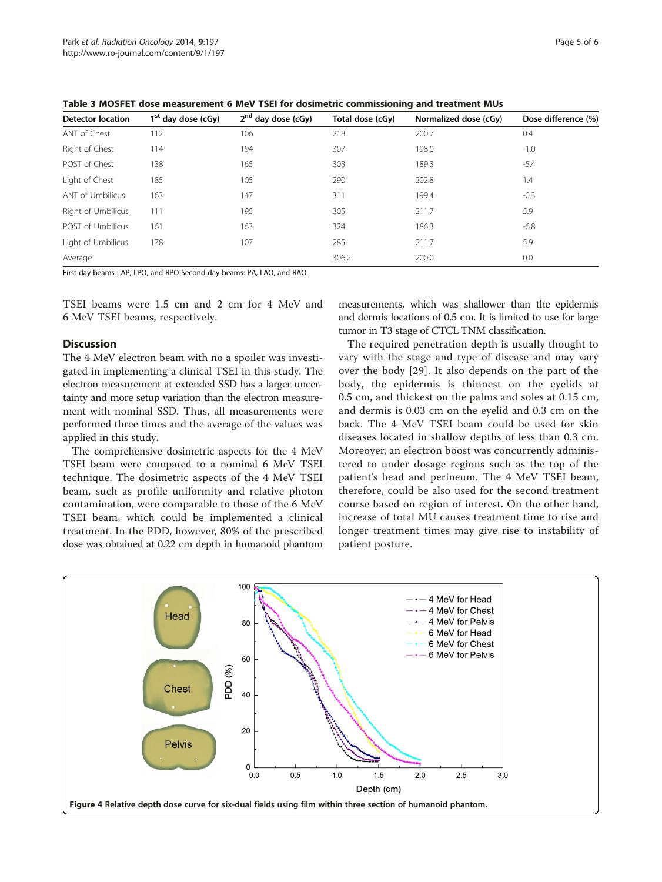| <b>Detector location</b> | $1st$ day dose (cGy) | $2nd$ day dose (cGy) | Total dose (cGy) | Normalized dose (cGy) | Dose difference (%) |  |  |  |  |
|--------------------------|----------------------|----------------------|------------------|-----------------------|---------------------|--|--|--|--|
| ANT of Chest             | 112                  | 106                  | 218              | 200.7                 | 0.4                 |  |  |  |  |
| Right of Chest           | 114                  | 194                  | 307              | 198.0                 | $-1.0$              |  |  |  |  |
| POST of Chest            | 138                  | 165                  | 303              | 189.3                 | $-5.4$              |  |  |  |  |
| Light of Chest           | 185                  | 105                  | 290              | 202.8                 | 1.4                 |  |  |  |  |
| <b>ANT of Umbilicus</b>  | 163                  | 147                  | 311              | 199.4                 | $-0.3$              |  |  |  |  |
| Right of Umbilicus       | 111                  | 195                  | 305              | 211.7                 | 5.9                 |  |  |  |  |
| POST of Umbilicus        | 161                  | 163                  | 324              | 186.3                 | $-6.8$              |  |  |  |  |
| Light of Umbilicus       | 178                  | 107                  | 285              | 211.7                 | 5.9                 |  |  |  |  |
| Average                  |                      |                      | 306.2            | 200.0                 | 0.0                 |  |  |  |  |

<span id="page-4-0"></span>Table 3 MOSFET dose measurement 6 MeV TSEI for dosimetric commissioning and treatment MUs

First day beams : AP, LPO, and RPO Second day beams: PA, LAO, and RAO.

TSEI beams were 1.5 cm and 2 cm for 4 MeV and 6 MeV TSEI beams, respectively.

## **Discussion**

The 4 MeV electron beam with no a spoiler was investigated in implementing a clinical TSEI in this study. The electron measurement at extended SSD has a larger uncertainty and more setup variation than the electron measurement with nominal SSD. Thus, all measurements were performed three times and the average of the values was applied in this study.

The comprehensive dosimetric aspects for the 4 MeV TSEI beam were compared to a nominal 6 MeV TSEI technique. The dosimetric aspects of the 4 MeV TSEI beam, such as profile uniformity and relative photon contamination, were comparable to those of the 6 MeV TSEI beam, which could be implemented a clinical treatment. In the PDD, however, 80% of the prescribed dose was obtained at 0.22 cm depth in humanoid phantom

measurements, which was shallower than the epidermis and dermis locations of 0.5 cm. It is limited to use for large tumor in T3 stage of CTCL TNM classification.

The required penetration depth is usually thought to vary with the stage and type of disease and may vary over the body [[29\]](#page-5-0). It also depends on the part of the body, the epidermis is thinnest on the eyelids at 0.5 cm, and thickest on the palms and soles at 0.15 cm, and dermis is 0.03 cm on the eyelid and 0.3 cm on the back. The 4 MeV TSEI beam could be used for skin diseases located in shallow depths of less than 0.3 cm. Moreover, an electron boost was concurrently administered to under dosage regions such as the top of the patient's head and perineum. The 4 MeV TSEI beam, therefore, could be also used for the second treatment course based on region of interest. On the other hand, increase of total MU causes treatment time to rise and longer treatment times may give rise to instability of patient posture.